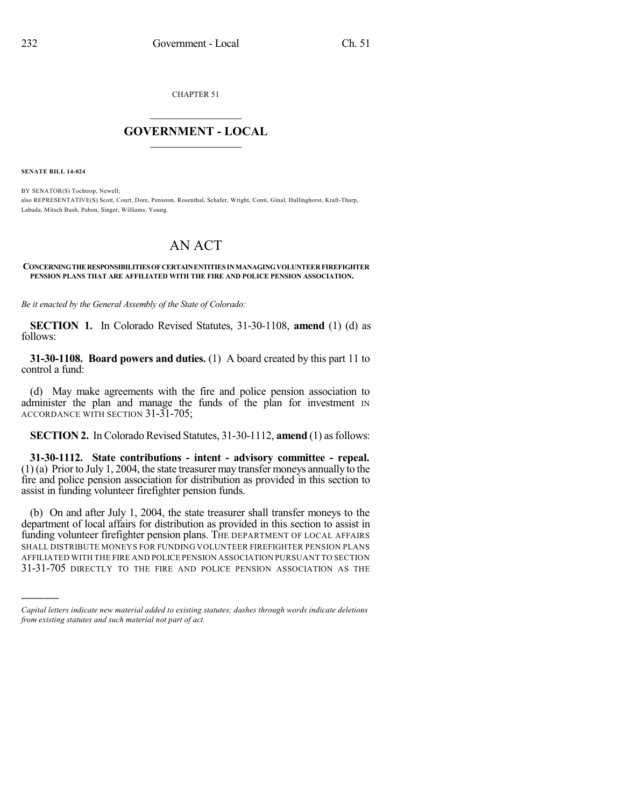CHAPTER 51

## $\overline{\phantom{a}}$  . The set of the set of the set of the set of the set of the set of the set of the set of the set of the set of the set of the set of the set of the set of the set of the set of the set of the set of the set o **GOVERNMENT - LOCAL**  $\_$

**SENATE BILL 14-024**

)))))

BY SENATOR(S) Tochtrop, Newell; also REPRESENTATIVE(S) Scott, Court, Dore, Peniston, Rosenthal, Schafer, Wright, Conti, Ginal, Hullinghorst, Kraft-Tharp, Labuda, Mitsch Bush, Pabon, Singer, Williams, Young.

## AN ACT

## **CONCERNINGTHERESPONSIBILITIESOFCERTAINENTITIES INMANAGINGVOLUNTEERFIREFIGHTER PENSION PLANS THAT ARE AFFILIATED WITH THE FIRE AND POLICE PENSION ASSOCIATION.**

*Be it enacted by the General Assembly of the State of Colorado:*

**SECTION 1.** In Colorado Revised Statutes, 31-30-1108, **amend** (1) (d) as follows:

**31-30-1108. Board powers and duties.** (1) A board created by this part 11 to control a fund:

(d) May make agreements with the fire and police pension association to administer the plan and manage the funds of the plan for investment IN ACCORDANCE WITH SECTION 31-31-705;

**SECTION 2.** In Colorado Revised Statutes, 31-30-1112, **amend** (1) as follows:

**31-30-1112. State contributions - intent - advisory committee - repeal.** (1) (a) Prior to July 1, 2004, the state treasurer may transfer moneys annually to the fire and police pension association for distribution as provided in this section to assist in funding volunteer firefighter pension funds.

(b) On and after July 1, 2004, the state treasurer shall transfer moneys to the department of local affairs for distribution as provided in this section to assist in funding volunteer firefighter pension plans. THE DEPARTMENT OF LOCAL AFFAIRS SHALL DISTRIBUTE MONEYS FOR FUNDING VOLUNTEER FIREFIGHTER PENSION PLANS AFFILIATED WITH THE FIRE AND POLICE PENSION ASSOCIATION PURSUANT TO SECTION 31-31-705 DIRECTLY TO THE FIRE AND POLICE PENSION ASSOCIATION AS THE

*Capital letters indicate new material added to existing statutes; dashes through words indicate deletions from existing statutes and such material not part of act.*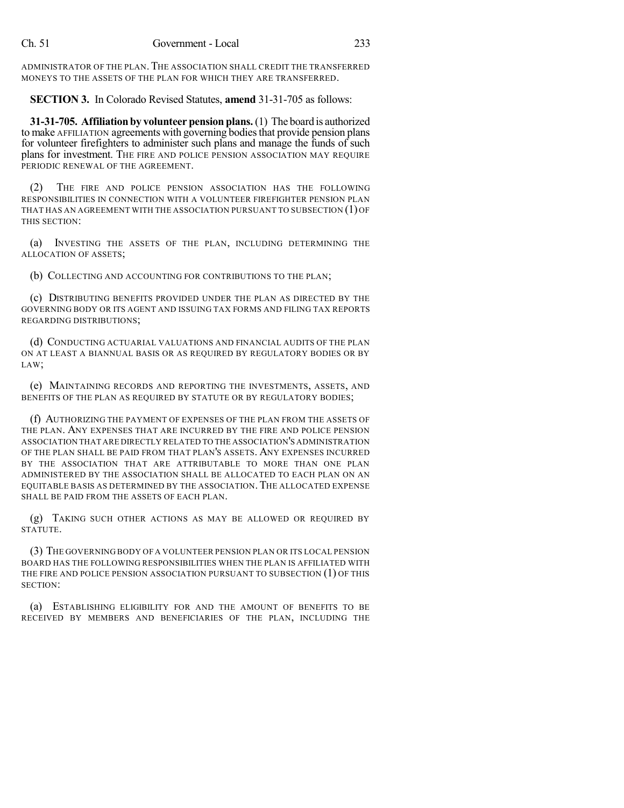ADMINISTRATOR OF THE PLAN. THE ASSOCIATION SHALL CREDIT THE TRANSFERRED MONEYS TO THE ASSETS OF THE PLAN FOR WHICH THEY ARE TRANSFERRED.

**SECTION 3.** In Colorado Revised Statutes, **amend** 31-31-705 as follows:

**31-31-705. Affiliationby volunteer pension plans.**(1) The board is authorized to make AFFILIATION agreements with governing bodies that provide pension plans for volunteer firefighters to administer such plans and manage the funds of such plans for investment. THE FIRE AND POLICE PENSION ASSOCIATION MAY REQUIRE PERIODIC RENEWAL OF THE AGREEMENT.

(2) THE FIRE AND POLICE PENSION ASSOCIATION HAS THE FOLLOWING RESPONSIBILITIES IN CONNECTION WITH A VOLUNTEER FIREFIGHTER PENSION PLAN THAT HAS AN AGREEMENT WITH THE ASSOCIATION PURSUANT TO SUBSECTION (1) OF THIS SECTION:

(a) INVESTING THE ASSETS OF THE PLAN, INCLUDING DETERMINING THE ALLOCATION OF ASSETS;

(b) COLLECTING AND ACCOUNTING FOR CONTRIBUTIONS TO THE PLAN;

(c) DISTRIBUTING BENEFITS PROVIDED UNDER THE PLAN AS DIRECTED BY THE GOVERNING BODY OR ITS AGENT AND ISSUING TAX FORMS AND FILING TAX REPORTS REGARDING DISTRIBUTIONS;

(d) CONDUCTING ACTUARIAL VALUATIONS AND FINANCIAL AUDITS OF THE PLAN ON AT LEAST A BIANNUAL BASIS OR AS REQUIRED BY REGULATORY BODIES OR BY LAW;

(e) MAINTAINING RECORDS AND REPORTING THE INVESTMENTS, ASSETS, AND BENEFITS OF THE PLAN AS REQUIRED BY STATUTE OR BY REGULATORY BODIES;

(f) AUTHORIZING THE PAYMENT OF EXPENSES OF THE PLAN FROM THE ASSETS OF THE PLAN. ANY EXPENSES THAT ARE INCURRED BY THE FIRE AND POLICE PENSION ASSOCIATION THAT ARE DIRECTLY RELATED TO THE ASSOCIATION'S ADMINISTRATION OF THE PLAN SHALL BE PAID FROM THAT PLAN'S ASSETS. ANY EXPENSES INCURRED BY THE ASSOCIATION THAT ARE ATTRIBUTABLE TO MORE THAN ONE PLAN ADMINISTERED BY THE ASSOCIATION SHALL BE ALLOCATED TO EACH PLAN ON AN EQUITABLE BASIS AS DETERMINED BY THE ASSOCIATION.THE ALLOCATED EXPENSE SHALL BE PAID FROM THE ASSETS OF EACH PLAN.

(g) TAKING SUCH OTHER ACTIONS AS MAY BE ALLOWED OR REQUIRED BY STATUTE.

(3) THE GOVERNING BODY OF A VOLUNTEER PENSION PLAN OR ITS LOCAL PENSION BOARD HAS THE FOLLOWING RESPONSIBILITIES WHEN THE PLAN IS AFFILIATED WITH THE FIRE AND POLICE PENSION ASSOCIATION PURSUANT TO SUBSECTION (1) OF THIS SECTION:

(a) ESTABLISHING ELIGIBILITY FOR AND THE AMOUNT OF BENEFITS TO BE RECEIVED BY MEMBERS AND BENEFICIARIES OF THE PLAN, INCLUDING THE